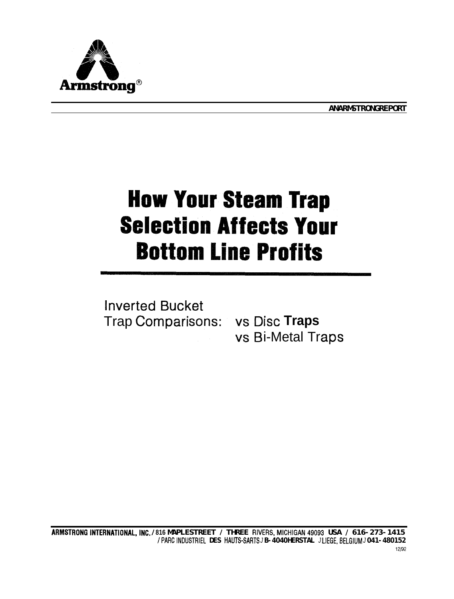

**ANARMSTRONGREPORT** 

# **How Your Steam Trap Selection Affects Your Bottom Line Profits**

**Inverted Bucket** Trap Comparisons: vs Disc Traps

vs Bi-Metal Traps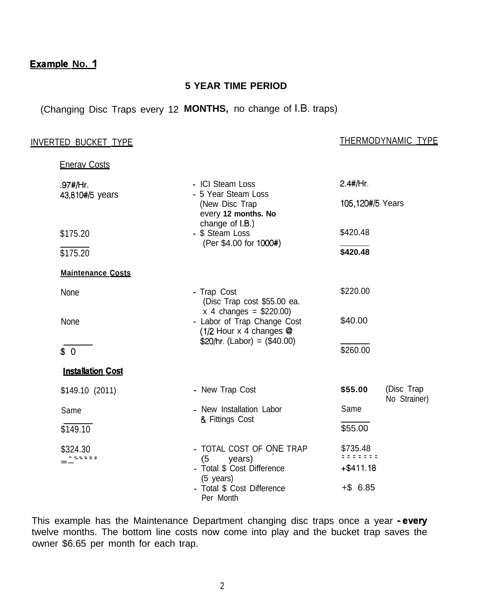### **Example No. 1**

#### **5 YEAR TIME PERIOD**

## (Changing Disc Traps every 12 **MONTHS,** no change of I.B. traps)

**Enerav Costs** 

#### INVERTED BUCKET TYPE THERMODYNAMIC TYPE

| .97#/Hr.                                | - ICI Steam Loss<br>- 5 Year Steam Loss<br>(New Disc Trap<br>every 12 months. No<br>change of I.B.)<br>- \$ Steam Loss<br>(Per \$4.00 for 1000#)                              | $2.4$ #/Hr.                                 |                            |
|-----------------------------------------|-------------------------------------------------------------------------------------------------------------------------------------------------------------------------------|---------------------------------------------|----------------------------|
| 43,810#/5 years                         |                                                                                                                                                                               | 105,120#/5 Years                            |                            |
| \$175.20                                |                                                                                                                                                                               | \$420.48                                    |                            |
| \$175.20                                |                                                                                                                                                                               | \$420.48                                    |                            |
| <b>Maintenance Costs</b>                |                                                                                                                                                                               |                                             |                            |
| None                                    | - Trap Cost<br>(Disc Trap cost \$55.00 ea.<br>$x$ 4 changes = \$220.00)<br>- Labor of Trap Change Cost<br>(1/2 Hour $x$ 4 changes $\circledR$<br>$$20/hr. (Labor) = ($40.00)$ | \$220.00                                    |                            |
| None                                    |                                                                                                                                                                               | \$40.00                                     |                            |
| \$0                                     |                                                                                                                                                                               | \$260.00                                    |                            |
| <b>Installation Cost</b>                |                                                                                                                                                                               |                                             |                            |
| \$149.10 (2011)                         | - New Trap Cost                                                                                                                                                               | \$55.00                                     | (Disc Trap<br>No Strainer) |
| Same                                    | - New Installation Labor<br>& Fittings Cost                                                                                                                                   | Same                                        |                            |
| \$149.10                                |                                                                                                                                                                               | \$55.00                                     |                            |
| \$324.30<br>$\mathbf{z}$ = $\mathbf{z}$ | - TOTAL COST OF ONE TRAP<br>(5)<br>years)<br>- Total \$ Cost Difference<br>(5 years)<br>- Total \$ Cost Difference<br>Per Month                                               | \$735.48<br>.<br>$+ $411.18$<br>$+$ \$ 6.85 |                            |

This example has the Maintenance Department changing disc traps once a year - every twelve months. The bottom line costs now come into play and the bucket trap saves the owner \$6.65 per month for each trap.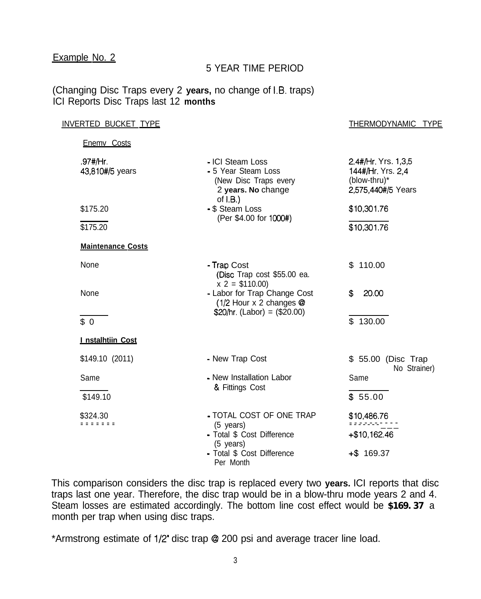#### Example No. 2

#### 5 YEAR TIME PERIOD

(Changing Disc Traps every 2 **years,** no change of 1.9. traps) ICI Reports Disc Traps last 12 **months**

| <u>INVERTED BUCKET TYPE</u> |                                                                                                       | <b>THERMODYNAMIC</b><br><b>TYPE</b>                                            |  |
|-----------------------------|-------------------------------------------------------------------------------------------------------|--------------------------------------------------------------------------------|--|
| Enemy Costs                 |                                                                                                       |                                                                                |  |
| .97#/Hr.<br>43,810#/5 years | - ICI Steam Loss<br>- 5 Year Steam Loss<br>(New Disc Traps every<br>2 years. No change<br>of $I.B.$ ) | 2.4#/Hr. Yrs. 1,3,5<br>144#/Hr. Yrs. 2,4<br>(blow-thru)*<br>2,575,440#/5 Years |  |
| \$175.20                    | - \$ Steam Loss                                                                                       | \$10,301.76                                                                    |  |
| \$175.20                    | (Per \$4.00 for 1000#)                                                                                | \$10,301.76                                                                    |  |
| <b>Maintenance Costs</b>    |                                                                                                       |                                                                                |  |
| None                        | - Trap Cost<br>(Disc Trap cost \$55.00 ea.<br>$x 2 = $110.00$                                         | \$110.00                                                                       |  |
| None                        | - Labor for Trap Change Cost<br>(1/2 Hour x 2 changes @                                               | 20.00<br>S                                                                     |  |
| \$0                         | $$20/hr. (Labor) = ($20.00)$                                                                          | \$130.00                                                                       |  |
| I nstalhtiin Cost           |                                                                                                       |                                                                                |  |
| $$149.10$ (2011)            | - New Trap Cost                                                                                       | \$ 55.00 (Disc Trap<br>No Strainer)                                            |  |
| Same                        | - New Installation Labor<br>& Fittings Cost                                                           | Same                                                                           |  |
| \$149.10                    |                                                                                                       | \$55.00                                                                        |  |
| \$324.30<br>= = = = = = =   | - TOTAL COST OF ONE TRAP<br>$(5$ years)                                                               | \$10,486.76<br>e e electron n'ha                                               |  |
|                             | - Total \$ Cost Difference<br>(5 years)                                                               | +\$10,162.46                                                                   |  |
|                             | - Total \$ Cost Difference<br>Per Month                                                               | $+$ \$ 169.37                                                                  |  |

This comparison considers the disc trap is replaced every two **years.** ICI reports that disc traps last one year. Therefore, the disc trap would be in a blow-thru mode years 2 and 4. Steam losses are estimated accordingly. The bottom line cost effect would be **\$169.37** a month per trap when using disc traps.

\*Armstrong estimate of l/2" disc trap @I 200 psi and average tracer line load.